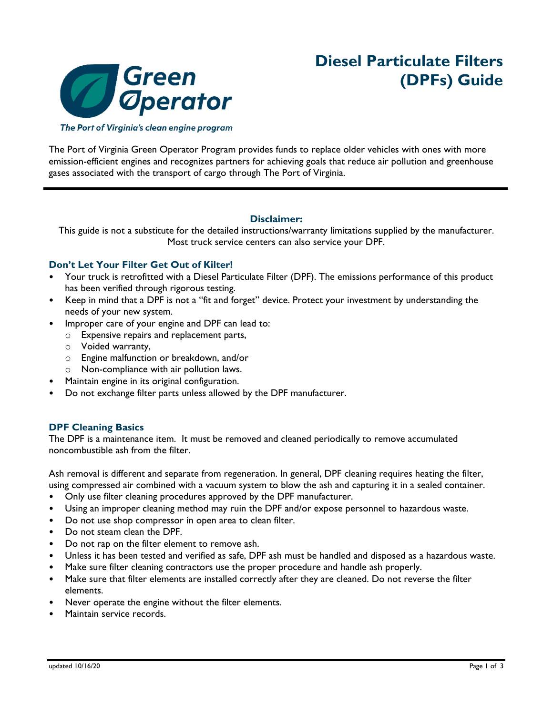

# **Diesel Particulate Filters (DPFs) Guide**

The Port of Virginia's clean engine program

The Port of Virginia Green Operator Program provides funds to replace older vehicles with ones with more emission-efficient engines and recognizes partners for achieving goals that reduce air pollution and greenhouse gases associated with the transport of cargo through The Port of Virginia.

#### **Disclaimer:**

This guide is not a substitute for the detailed instructions/warranty limitations supplied by the manufacturer. Most truck service centers can also service your DPF.

# **Don't Let Your Filter Get Out of Kilter!**

- Your truck is retrofitted with a Diesel Particulate Filter (DPF). The emissions performance of this product has been verified through rigorous testing.
- Keep in mind that a DPF is not a "fit and forget" device. Protect your investment by understanding the needs of your new system.
- Improper care of your engine and DPF can lead to:
	- o Expensive repairs and replacement parts,
	- o Voided warranty,
	- o Engine malfunction or breakdown, and/or
	- o Non-compliance with air pollution laws.
- Maintain engine in its original configuration.
- Do not exchange filter parts unless allowed by the DPF manufacturer.

# **DPF Cleaning Basics**

The DPF is a maintenance item. It must be removed and cleaned periodically to remove accumulated noncombustible ash from the filter.

Ash removal is different and separate from regeneration. In general, DPF cleaning requires heating the filter, using compressed air combined with a vacuum system to blow the ash and capturing it in a sealed container.

- Only use filter cleaning procedures approved by the DPF manufacturer.
- Using an improper cleaning method may ruin the DPF and/or expose personnel to hazardous waste.
- Do not use shop compressor in open area to clean filter.
- Do not steam clean the DPF.
- Do not rap on the filter element to remove ash.
- Unless it has been tested and verified as safe, DPF ash must be handled and disposed as a hazardous waste.
- Make sure filter cleaning contractors use the proper procedure and handle ash properly.
- Make sure that filter elements are installed correctly after they are cleaned. Do not reverse the filter elements.
- Never operate the engine without the filter elements.
- Maintain service records.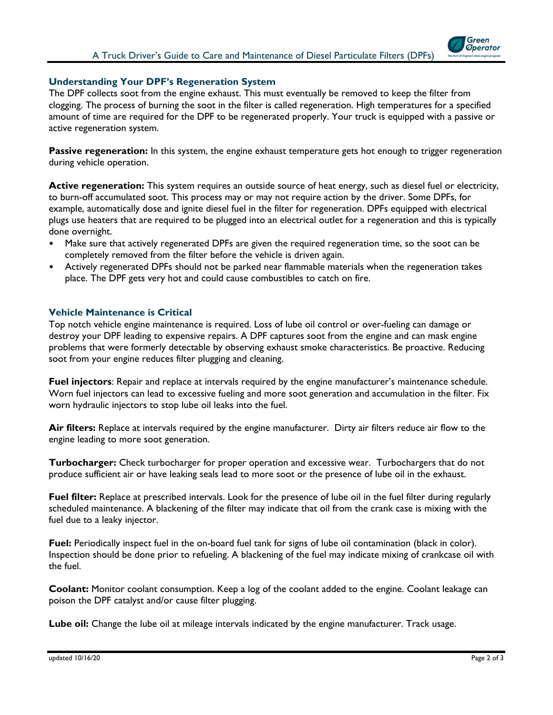

#### **Understanding Your DPF's Regeneration System**

The DPF collects soot from the engine exhaust. This must eventually be removed to keep the filter from clogging. The process of burning the soot in the filter is called regeneration. High temperatures for a specified amount of time are required for the DPF to be regenerated properly. Your truck is equipped with a passive or active regeneration system.

**Passive regeneration:** In this system, the engine exhaust temperature gets hot enough to trigger regeneration during vehicle operation.

**Active regeneration:** This system requires an outside source of heat energy, such as diesel fuel or electricity, to burn-off accumulated soot. This process may or may not require action by the driver. Some DPFs, for example, automatically dose and ignite diesel fuel in the filter for regeneration. DPFs equipped with electrical plugs use heaters that are required to be plugged into an electrical outlet for a regeneration and this is typically done overnight.

- Make sure that actively regenerated DPFs are given the required regeneration time, so the soot can be completely removed from the filter before the vehicle is driven again.
- Actively regenerated DPFs should not be parked near flammable materials when the regeneration takes place. The DPF gets very hot and could cause combustibles to catch on fire.

#### **Vehicle Maintenance is Critical**

Top notch vehicle engine maintenance is required. Loss of lube oil control or over-fueling can damage or destroy your DPF leading to expensive repairs. A DPF captures soot from the engine and can mask engine problems that were formerly detectable by observing exhaust smoke characteristics. Be proactive. Reducing soot from your engine reduces filter plugging and cleaning.

**Fuel injectors**: Repair and replace at intervals required by the engine manufacturer's maintenance schedule. Worn fuel injectors can lead to excessive fueling and more soot generation and accumulation in the filter. Fix worn hydraulic injectors to stop lube oil leaks into the fuel.

**Air filters:** Replace at intervals required by the engine manufacturer. Dirty air filters reduce air flow to the engine leading to more soot generation.

**Turbocharger:** Check turbocharger for proper operation and excessive wear. Turbochargers that do not produce sufficient air or have leaking seals lead to more soot or the presence of lube oil in the exhaust.

**Fuel filter:** Replace at prescribed intervals. Look for the presence of lube oil in the fuel filter during regularly scheduled maintenance. A blackening of the filter may indicate that oil from the crank case is mixing with the fuel due to a leaky injector.

**Fuel:** Periodically inspect fuel in the on-board fuel tank for signs of lube oil contamination (black in color). Inspection should be done prior to refueling. A blackening of the fuel may indicate mixing of crankcase oil with the fuel.

**Coolant:** Monitor coolant consumption. Keep a log of the coolant added to the engine. Coolant leakage can poison the DPF catalyst and/or cause filter plugging.

**Lube oil:** Change the lube oil at mileage intervals indicated by the engine manufacturer. Track usage.